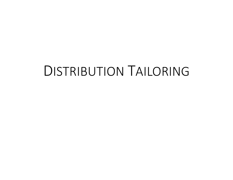# DISTRIBUTION TAILORING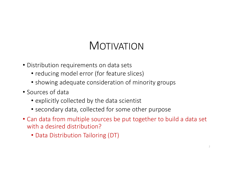# MOTIVATION

- Distribution requirements on data sets
	- reducing model error (for feature slices)
	- showing adequate consideration of minority groups
- Sources of data
	- explicitly collected by the data scientist
	- secondary data, collected for some other purpose
- Can data from multiple sources be put together to build a data set with a desired distribution?
	- Data Distribution Tailoring (DT)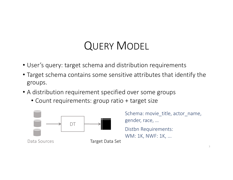# QUERY MODEL

- User's query: target schema and distribution requirements
- Target schema contains some sensitive attributes that identify the groups.
- A distribution requirement specified over some groups
	- Count requirements: group ratio + target size



Schema: movie\_title, actor\_name, gender, race, …

Distbn Requirements: WM: 1K, NWF: 1K, ...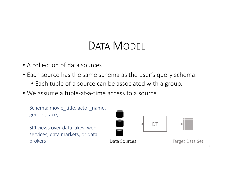# DATA MODEL

- A collection of data sources
- Each source has the same schema as the user's query schema.
	- Each tuple of a source can be associated with a group.
- We assume a tuple-at-a-time access to a source.

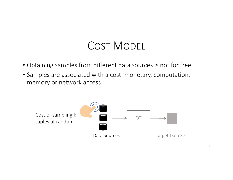# COST MODEL

- Obtaining samples from different data sources is not for free.
- Samples are associated with a cost: monetary, computation, memory or network access.

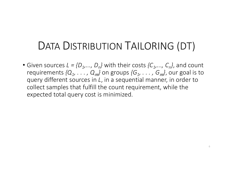# DATA DISTRIBUTION TAILORING (DT)

• Given sources  $L = \{D_1, ..., D_n\}$  with their costs  $\{C_1, ..., C_n\}$ , and count requirements  $\{Q_1, \ldots, Q_m\}$  on groups  $\{G_1, \ldots, G_m\}$ , our goal is to query different sources in *L*, in a sequential manner, in order to collect samples that fulfill the count requirement, while the expected total query cost is minimized.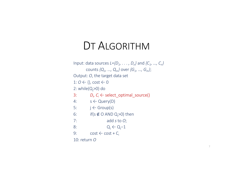#### DT ALGORITHM

Input: data sources *L={D1, . . . , Dn}* and *{C1, …, Cn}* counts *{Q1, …, Qm}* over *{G1, …, Gm}*; Output: *O*, the target data set  $1: 0 \leftarrow \{\}$ , cost  $\leftarrow 0$ 2: while $(Q_j>0)$  do 3:  $D_{\nu} C_i \leftarrow \text{select\_optimal\_source}()$ 4:  $s \leftarrow \text{Query}(D)$ 5:  $j \leftarrow$  Group(s) 6: if(s  $\notin$  O AND Q<sub>j</sub>>0) then 7: add *s* to *O*; 8:  $Q_j \leftarrow Q_j - 1$ 9:  $\cos t \leftarrow \cos t + C_i$ 10: return *O*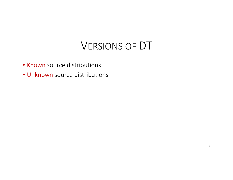# VERSIONS OF DT

- Known source distributions
- Unknown source distributions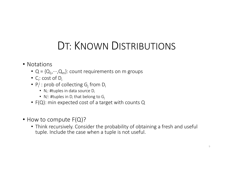# DT: KNOWN DISTRIBUTIONS

- Notations
	- $Q = \{Q_1, \dots, Q_m\}$ : count requirements on m groups
	- $C_i$ : cost of  $D_i$
	- $P_i^j$  : prob of collecting  $G_j$  from  $D_i$ 
		- $N_i$ : #tuples in data source D<sub>i</sub>
		- $\,$  N<sub>i</sub>: #tuples in D<sub>i</sub> that belong to G<sub>j</sub>
	- F(Q): min expected cost of a target with counts Q
- How to compute F(Q)?
	- Think recursively. Consider the probability of obtaining a fresh and useful tuple. Include the case when a tuple is not useful.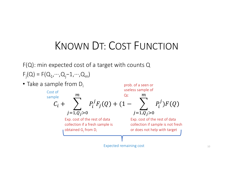# KNOWN DT: COST FUNCTION

F(Q): min expected cost of a target with counts Q  $F_j(Q) = F(Q_1, \dots, Q_j - 1, \dots, Q_m)$ 

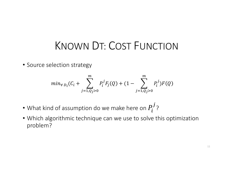#### KNOWN DT: COST FUNCTION

• Source selection strategy

$$
min_{\forall D_i}(C_i + \sum_{j=1,Q_j>0}^{m} P_i^j F_j(Q) + (1 - \sum_{j=1,Q_j>0}^{m} P_i^j)F(Q)
$$

- What kind of assumption do we make here on  $P_{\boldsymbol{i}}^{\boldsymbol{j}}$ ?
- Which algorithmic technique can we use to solve this optimization problem?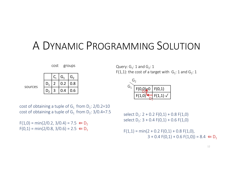# A DYNAMIC PROGRAMMING SOLUTION



cost of obtaining a tuple of  $G_1$  from  $D_1$ : 2/0.2=10 cost of obtaining a tuple of  $G_1$  from  $D_2$ : 3/0.4=7.5

 $F(1,0) = min(2/0.2, 3/0.4) = 7.5 \Leftrightarrow D_2$  $F(0,1) = min(2/0.8, 3/0.6) = 2.5 \Leftrightarrow D_1$ 

cost groups  $\qquad \qquad$  Query:  $G_1$ : 1 and  $G_2$ : 1 F(1,1): the cost of a target with  $G_1$ : 1 and  $G_2$ : 1



select  $D_1$ : 2 + 0.2 F(0,1) + 0.8 F(1,0) select  $D_2$ : 3 + 0.4 F(0,1) + 0.6 F(1,0)

 $F(1,1) = min(2 + 0.2 F(0,1) + 0.8 F(1,0)),$  $3 + 0.4$  F(0,1) + 0.6 F(1,0)) = 8.4  $\Leftarrow$  D<sub>1</sub>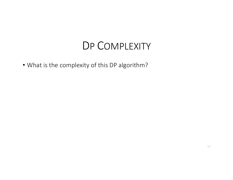#### DP COMPLEXITY

• What is the complexity of this DP algorithm?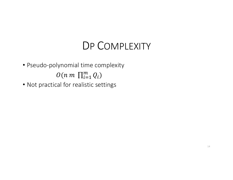### DP COMPLEXITY

- Pseudo-polynomial time complexity  $O(n \ m \ \prod_{i=1}^{m} Q_i)$
- Not practical for realistic settings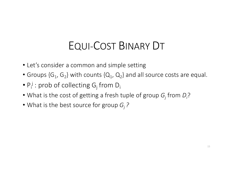# EQUI-COST BINARY DT

- Let's consider a common and simple setting
- Groups  $\{G_1, G_2\}$  with counts  $\{Q_1, Q_2\}$  and all source costs are equal.
- $P_i^j$  : prob of collecting  $G_j$  from  $D_i$
- What is the cost of getting a fresh tuple of group  $G_j$  from  $D_j$ ?
- What is the best source for group *Gj ?*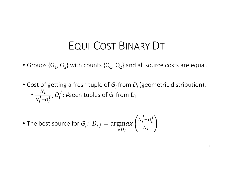#### EQUI-COST BINARY DT

- Groups  $\{G_1, G_2\}$  with counts  $\{Q_1, Q_2\}$  and all source costs are equal.
- Cost of getting a fresh tuple of  $G_i$  from  $D_i$  (geometric distribution): •  $N_i$  $N_i^j - O_i^j$  $\overline{g}$  ,  $O_i^{\,j}$ : #seen tuples of G $_{\textrm{j}}$  from D $_{\textrm{i}}$

• The best source for 
$$
G_j
$$
:  $D_{*j} = \underset{\forall D_i}{\text{argmax}} \left( \frac{N_i^j - O_i^j}{N_i} \right)$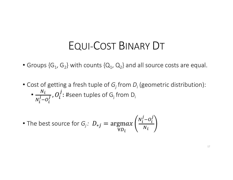#### EQUI-COST BINARY DT

- Groups  $\{G_1, G_2\}$  with counts  $\{Q_1, Q_2\}$  and all source costs are equal.
- Cost of getting a fresh tuple of  $G_i$  from  $D_i$  (geometric distribution): •  $N_i$  $N_i^j - O_i^j$  $\overline{g}$  ,  $O_i^{\,j}$ : #seen tuples of G $_{\textrm{j}}$  from D $_{\textrm{i}}$

• The best source for 
$$
G_j
$$
:  $D_{*j} = \underset{\forall D_i}{\text{argmax}} \left( \frac{N_i^j - O_i^j}{N_i} \right)$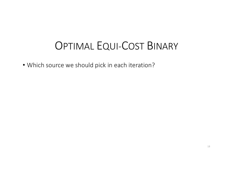• Which source we should pick in each iteration?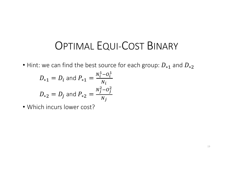• Hint: we can find the best source for each group:  $D_{*1}$  and  $D_{*2}$ 

$$
D_{*1} = D_i \text{ and } P_{*1} = \frac{N_i^1 - O_i^1}{N_i}
$$
  

$$
D_{*2} = D_j \text{ and } P_{*2} = \frac{N_j^2 - O_j^2}{N_j}
$$

• Which incurs lower cost?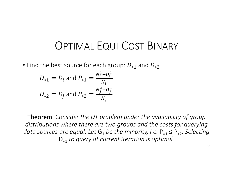• Find the best source for each group:  $D_{*1}$  and  $D_{*2}$ 

$$
D_{*1} = D_i \text{ and } P_{*1} = \frac{N_i^1 - O_i^1}{N_i}
$$
  

$$
D_{*2} = D_j \text{ and } P_{*2} = \frac{N_j^2 - O_j^2}{N_j}
$$

Theorem. *Consider the DT problem under the availability of group distributions where there are two groups and the costs for querying data sources are equal. Let*  $G_1$  *be the minority, i.e.*  $P_{*1} \le P_{*2}$ *. Selecting* D<sup>∗</sup><sup>1</sup> *to query at current iteration is optimal.*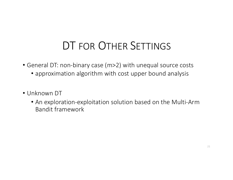# DT FOR OTHER SETTINGS

- General DT: non-binary case (m>2) with unequal source costs
	- approximation algorithm with cost upper bound analysis
- Unknown DT
	- An exploration-exploitation solution based on the Multi-Arm Bandit framework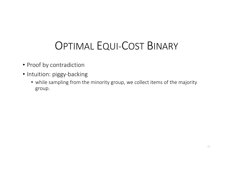- Proof by contradiction
- Intuition: piggy-backing
	- while sampling from the minority group, we collect items of the majority group.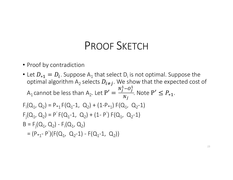### PROOF SKETCH

- Proof by contradiction
- Let  $D_{*1} = D_i$ . Suppose A<sub>1</sub> that select D<sub>i</sub> is not optimal. Suppose the optimal algorithm  $A_2$  selects  $D_{i \neq j}$ . We show that the expected cost of A<sub>1</sub> cannot be less than A<sub>2</sub>. Let  $P' =$  $N_j^1$ – $O_j^1$  $N_j$ . Note  $P' \leq P_{*1}$ .  $F_1(Q_1, Q_2) = P_{*1} F(Q_1 - 1, Q_2) + (1 - P_{*1}) F(Q_1, Q_2 - 1)$  $F_j(Q_1, Q_2) = P' F(Q_1 - 1, Q_2) + (1 - P') F(Q_1, Q_2 - 1)$  $B = F_j(Q_1, Q_2) - F_i(Q_1, Q_2)$  $= (P_{*1} - P')(F(Q_1, Q_2 - 1) - F(Q_1 - 1, Q_2))$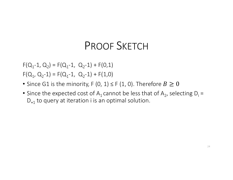### PROOF SKETCH

 $F(Q_1-1, Q_2) = F(Q_1-1, Q_2-1) + F(0,1)$  $F(Q_1, Q_2-1) = F(Q_1-1, Q_2-1) + F(1,0)$ 

- Since G1 is the minority, F (0, 1)  $\leq$  F (1, 0). Therefore  $B \geq 0$
- Since the expected cost of  $A_1$  cannot be less that of  $A_2$ , selecting  $D_i =$ D<sub>∗1</sub> to query at iteration i is an optimal solution.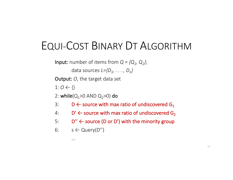# EQUI-COST BINARY DT ALGORITHM

**Input:** number of items from  $Q = \{Q_1, Q_2\}$ ;

data sources *L={D1, . . . , Dn}* 

Output: *O*, the target data set

 $1: O \leftarrow \{\}$ 

2: while( $Q_1 > 0$  AND  $Q_2 > 0$ ) do

- 3: D  $\leftarrow$  source with max ratio of undiscovered G<sub>1</sub>
- 4:  $D' \leftarrow$  source with max ratio of undiscovered G<sub>2</sub>
- 5:  $D'' \leftarrow$  source (D or D') with the minority group
- 6:  $s \leftarrow$  Query( $D''$ )

…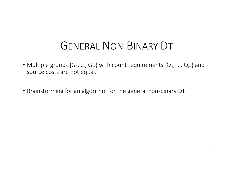# GENERAL NON-BINARY DT

- Multiple groups  $\{G_1, ..., G_m\}$  with count requirements  $\{Q_1, ..., Q_m\}$  and source costs are not equal.
- Brainstorming for an algorithm for the general non-binary DT.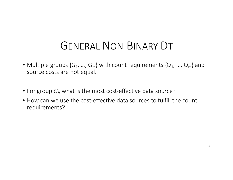# GENERAL NON-BINARY DT

- Multiple groups  $\{G_1, ..., G_m\}$  with count requirements  $\{Q_1, ..., Q_m\}$  and source costs are not equal.
- For group *Gj* , what is the most cost-effective data source?
- How can we use the cost-effective data sources to fulfill the count requirements?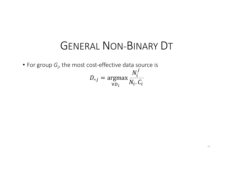#### GENERAL NON-BINARY DT

• For group  $G_j$ , the most cost-effective data source is  $D_{*j} = \text{argmax}$  $\forall D_i$  $N_i^{\,j}$  $N_i$ .  $C_i$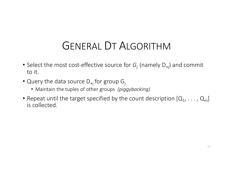# GENERAL DT ALGORITHM

- Select the most cost-effective source for *Gj* (namely D<sup>∗</sup><sup>j</sup> ) and commit to it.
- Query the data source D<sub>\*j</sub> for group G<sub>j</sub>
	- Maintain the tuples of other groups *(piggybacking)*
- Repeat until the target specified by the count description  $[Q_1, \ldots, Q_m]$ is collected.